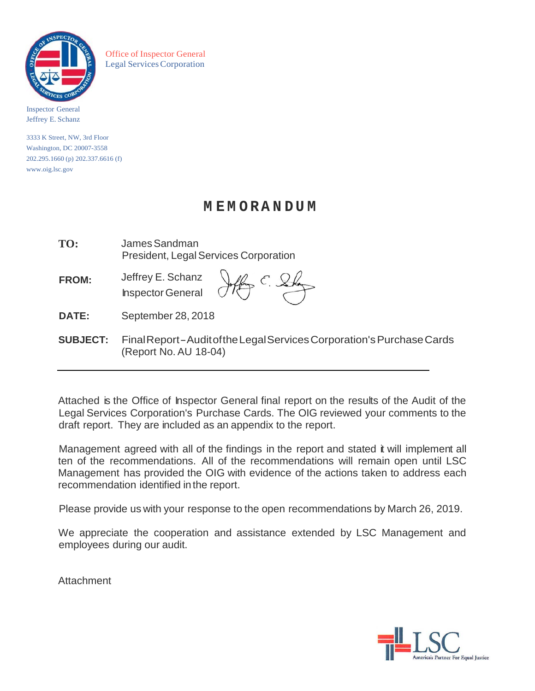

Office of Inspector General Legal Services Corporation

Inspector General Jeffrey E. Schanz

3333 K Street, NW, 3rd Floor Washington, DC 20007-3558 202.295.1660 (p) 202.337.6616 (f) [www.oig.lsc.gov](http://www.oig.lsc.gov/)

# **M E M O RA N D U M**

| TO:             | James Sandman<br><b>President, Legal Services Corporation</b>         |  |  |
|-----------------|-----------------------------------------------------------------------|--|--|
| <b>FROM:</b>    | Jeffrey E. Schanz<br>Inspector General Offer C. S.                    |  |  |
| <b>DATE:</b>    | September 28, 2018                                                    |  |  |
| <b>SUBJECT:</b> | Final Report-Audit of the Legal Services Corporation's Purchase Cards |  |  |

(Report No. AU 18-04)

Attached is the Office of Inspector General final report on the results of the Audit of the Legal Services Corporation's Purchase Cards. The OIG reviewed your comments to the draft report. They are included as an appendix to the report.

Management agreed with all of the findings in the report and stated it will implement all ten of the recommendations. All of the recommendations will remain open until LSC Management has provided the OIG with evidence of the actions taken to address each recommendation identified in the report.

Please provide us with your response to the open recommendations by March 26, 2019.

We appreciate the cooperation and assistance extended by LSC Management and employees during our audit.

**Attachment** 

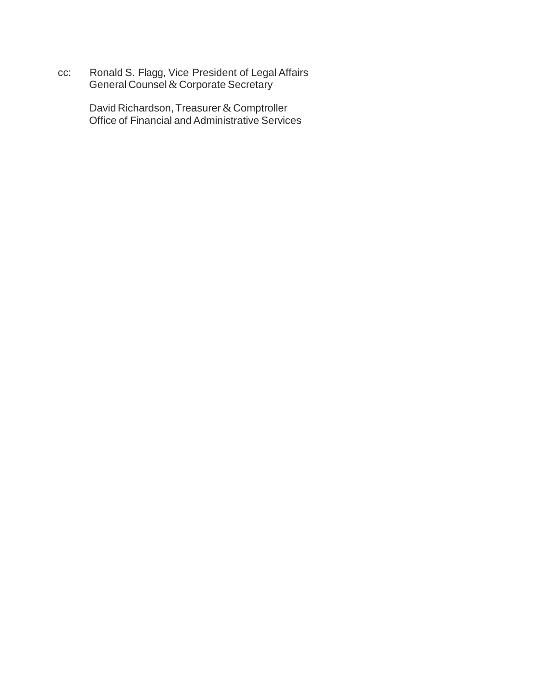cc: Ronald S. Flagg, Vice President of Legal Affairs General Counsel  $\&$  Corporate Secretary

> David Richardson, Treasurer & Comptroller Office of Financial and Administrative Services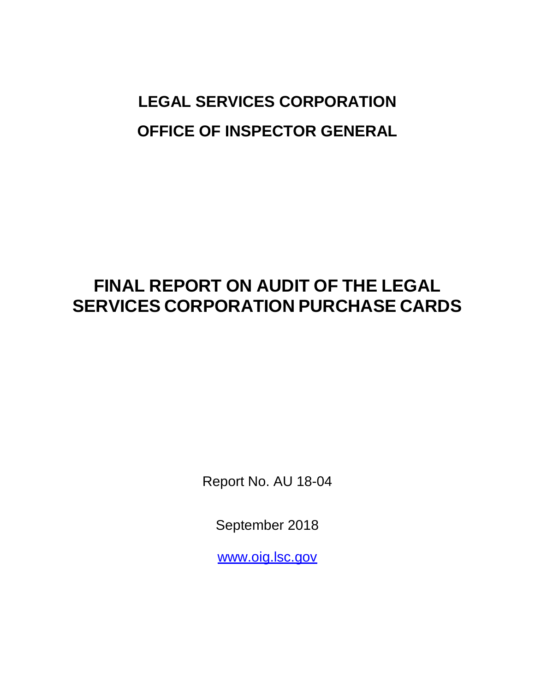# **LEGAL SERVICES CORPORATION OFFICE OF INSPECTOR GENERAL**

# **FINAL REPORT ON AUDIT OF THE LEGAL SERVICES CORPORATION PURCHASE CARDS**

Report No. AU 18-04

September 2018

[www.oig.lsc.gov](http://www.oig.lsc.gov/)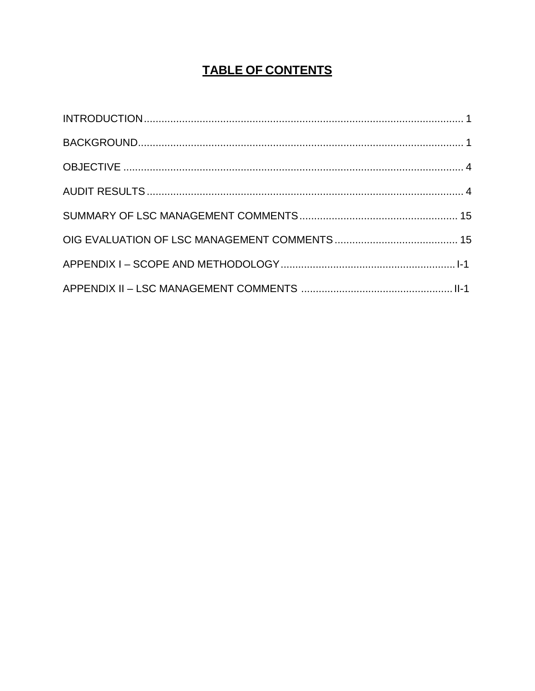# **TABLE OF CONTENTS**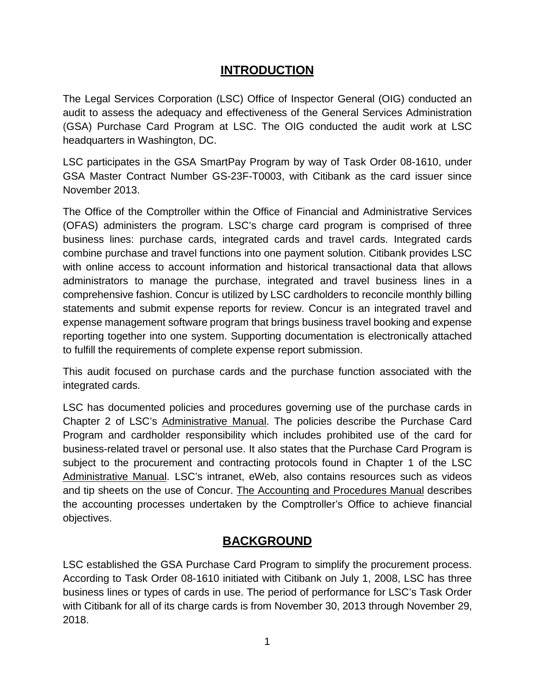# **INTRODUCTION**

<span id="page-4-0"></span>The Legal Services Corporation (LSC) Office of Inspector General (OIG) conducted an audit to assess the adequacy and effectiveness of the General Services Administration (GSA) Purchase Card Program at LSC. The OIG conducted the audit work at LSC headquarters in Washington, DC.

LSC participates in the GSA SmartPay Program by way of Task Order 08-1610, under GSA Master Contract Number GS-23F-T0003, with Citibank as the card issuer since November 2013.

The Office of the Comptroller within the Office of Financial and Administrative Services (OFAS) administers the program. LSC's charge card program is comprised of three business lines: purchase cards, integrated cards and travel cards. Integrated cards combine purchase and travel functions into one payment solution. Citibank provides LSC with online access to account information and historical transactional data that allows administrators to manage the purchase, integrated and travel business lines in a comprehensive fashion. Concur is utilized by LSC cardholders to reconcile monthly billing statements and submit expense reports for review. Concur is an integrated travel and expense management software program that brings business travel booking and expense reporting together into one system. Supporting documentation is electronically attached to fulfill the requirements of complete expense report submission.

This audit focused on purchase cards and the purchase function associated with the integrated cards.

LSC has documented policies and procedures governing use of the purchase cards in Chapter 2 of LSC's Administrative Manual. The policies describe the Purchase Card Program and cardholder responsibility which includes prohibited use of the card for business-related travel or personal use. It also states that the Purchase Card Program is subject to the procurement and contracting protocols found in Chapter 1 of the LSC Administrative Manual. LSC's intranet, eWeb, also contains resources such as videos and tip sheets on the use of Concur. The Accounting and Procedures Manual describes the accounting processes undertaken by the Comptroller's Office to achieve financial objectives.

# **BACKGROUND**

<span id="page-4-1"></span>LSC established the GSA Purchase Card Program to simplify the procurement process. According to Task Order 08-1610 initiated with Citibank on July 1, 2008, LSC has three business lines or types of cards in use. The period of performance for LSC's Task Order with Citibank for all of its charge cards is from November 30, 2013 through November 29, 2018.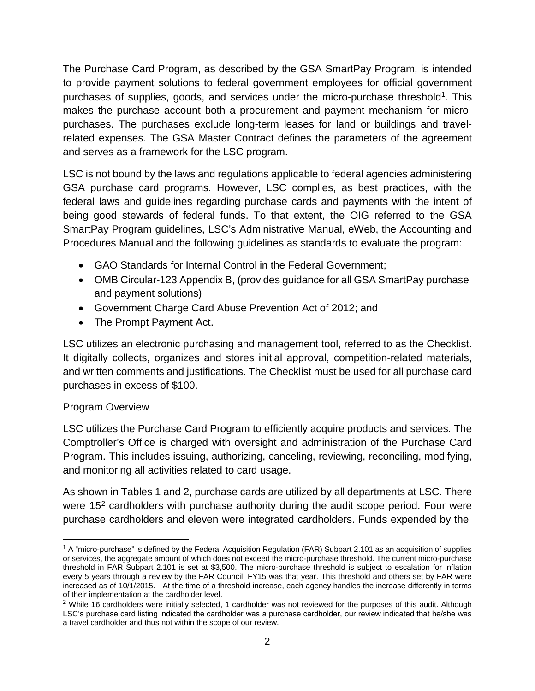The Purchase Card Program, as described by the GSA SmartPay Program, is intended to provide payment solutions to federal government employees for official government purchases of supplies, goods, and services under the micro-purchase threshold<sup>1</sup>. This makes the purchase account both a procurement and payment mechanism for micropurchases. The purchases exclude long-term leases for land or buildings and travelrelated expenses. The GSA Master Contract defines the parameters of the agreement and serves as a framework for the LSC program.

LSC is not bound by the laws and regulations applicable to federal agencies administering GSA purchase card programs. However, LSC complies, as best practices, with the federal laws and guidelines regarding purchase cards and payments with the intent of being good stewards of federal funds. To that extent, the OIG referred to the GSA SmartPay Program guidelines, LSC's Administrative Manual, eWeb, the Accounting and Procedures Manual and the following guidelines as standards to evaluate the program:

- GAO Standards for Internal Control in the Federal Government;
- OMB Circular-123 Appendix B, (provides guidance for all GSA SmartPay purchase and payment solutions)
- Government Charge Card Abuse Prevention Act of 2012; and
- The Prompt Payment Act.

LSC utilizes an electronic purchasing and management tool, referred to as the Checklist. It digitally collects, organizes and stores initial approval, competition-related materials, and written comments and justifications. The Checklist must be used for all purchase card purchases in excess of \$100.

## Program Overview

LSC utilizes the Purchase Card Program to efficiently acquire products and services. The Comptroller's Office is charged with oversight and administration of the Purchase Card Program. This includes issuing, authorizing, canceling, reviewing, reconciling, modifying, and monitoring all activities related to card usage.

As shown in Tables 1 and 2, purchase cards are utilized by all departments at LSC. There were  $15<sup>2</sup>$  cardholders with purchase authority during the audit scope period. Four were purchase cardholders and eleven were integrated cardholders. Funds expended by the

<span id="page-5-0"></span> $1$  A "micro-purchase" is defined by the Federal Acquisition Regulation (FAR) Subpart 2.101 as an acquisition of supplies or services, the aggregate amount of which does not exceed the micro-purchase threshold. The current micro-purchase threshold in FAR Subpart 2.101 is set at \$3,500. The micro-purchase threshold is subject to escalation for inflation every 5 years through a review by the FAR Council. FY15 was that year. This threshold and others set by FAR were increased as of 10/1/2015. At the time of a threshold increase, each agency handles the increase differently in terms of their implementation at the cardholder level.

<span id="page-5-1"></span> $2$  While 16 cardholders were initially selected, 1 cardholder was not reviewed for the purposes of this audit. Although LSC's purchase card listing indicated the cardholder was a purchase cardholder, our review indicated that he/she was a travel cardholder and thus not within the scope of our review.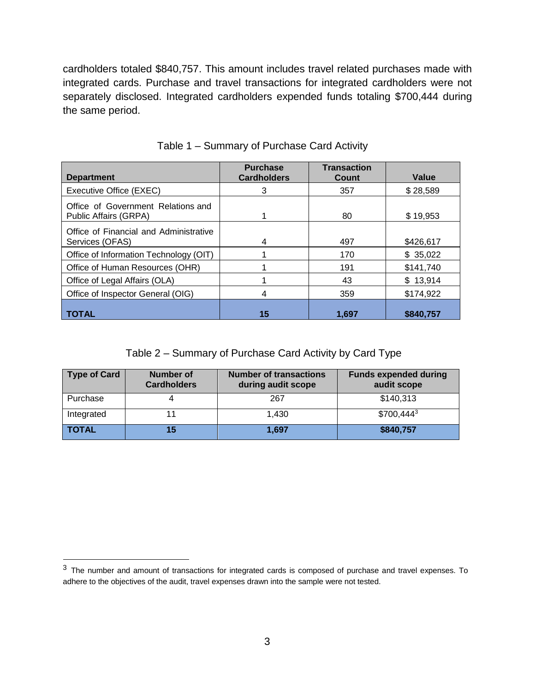cardholders totaled \$840,757. This amount includes travel related purchases made with integrated cards. Purchase and travel transactions for integrated cardholders were not separately disclosed. Integrated cardholders expended funds totaling \$700,444 during the same period.

| <b>Department</b>                                           | <b>Purchase</b><br><b>Cardholders</b> | <b>Transaction</b><br>Count | Value     |
|-------------------------------------------------------------|---------------------------------------|-----------------------------|-----------|
| Executive Office (EXEC)                                     | 3                                     | 357                         | \$28,589  |
| Office of Government Relations and<br>Public Affairs (GRPA) |                                       | 80                          | \$19,953  |
| Office of Financial and Administrative<br>Services (OFAS)   | 4                                     | 497                         | \$426,617 |
| Office of Information Technology (OIT)                      |                                       | 170                         | \$35,022  |
| Office of Human Resources (OHR)                             |                                       | 191                         | \$141,740 |
| Office of Legal Affairs (OLA)                               |                                       | 43                          | \$13,914  |
| Office of Inspector General (OIG)                           | 4                                     | 359                         | \$174,922 |
| <b>TOTAL</b>                                                | 15                                    | 1.697                       | \$840.757 |

#### Table 1 – Summary of Purchase Card Activity

Table 2 – Summary of Purchase Card Activity by Card Type

| Type of Card | Number of<br><b>Cardholders</b> | <b>Number of transactions</b><br>during audit scope | <b>Funds expended during</b><br>audit scope |
|--------------|---------------------------------|-----------------------------------------------------|---------------------------------------------|
| Purchase     | 4                               | 267                                                 | \$140,313                                   |
| Integrated   | 11                              | 1.430                                               | $$700,444^3$                                |
| <b>TOTAL</b> | 15                              | 1,697                                               | \$840,757                                   |

<span id="page-6-0"></span> $3$  The number and amount of transactions for integrated cards is composed of purchase and travel expenses. To adhere to the objectives of the audit, travel expenses drawn into the sample were not tested.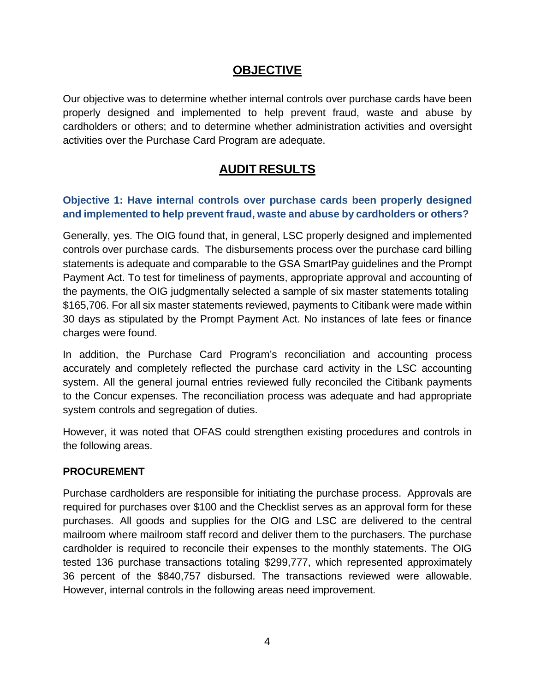## **OBJECTIVE**

<span id="page-7-0"></span>Our objective was to determine whether internal controls over purchase cards have been properly designed and implemented to help prevent fraud, waste and abuse by cardholders or others; and to determine whether administration activities and oversight activities over the Purchase Card Program are adequate.

# **AUDIT RESULTS**

### <span id="page-7-1"></span>**Objective 1: Have internal controls over purchase cards been properly designed and implemented to help prevent fraud, waste and abuse by cardholders or others?**

Generally, yes. The OIG found that, in general, LSC properly designed and implemented controls over purchase cards. The disbursements process over the purchase card billing statements is adequate and comparable to the GSA SmartPay guidelines and the Prompt Payment Act. To test for timeliness of payments, appropriate approval and accounting of the payments, the OIG judgmentally selected a sample of six master statements totaling \$165,706. For all six master statements reviewed, payments to Citibank were made within 30 days as stipulated by the Prompt Payment Act. No instances of late fees or finance charges were found.

In addition, the Purchase Card Program's reconciliation and accounting process accurately and completely reflected the purchase card activity in the LSC accounting system. All the general journal entries reviewed fully reconciled the Citibank payments to the Concur expenses. The reconciliation process was adequate and had appropriate system controls and segregation of duties.

However, it was noted that OFAS could strengthen existing procedures and controls in the following areas.

#### **PROCUREMENT**

Purchase cardholders are responsible for initiating the purchase process. Approvals are required for purchases over \$100 and the Checklist serves as an approval form for these purchases. All goods and supplies for the OIG and LSC are delivered to the central mailroom where mailroom staff record and deliver them to the purchasers. The purchase cardholder is required to reconcile their expenses to the monthly statements. The OIG tested 136 purchase transactions totaling \$299,777, which represented approximately 36 percent of the \$840,757 disbursed. The transactions reviewed were allowable. However, internal controls in the following areas need improvement.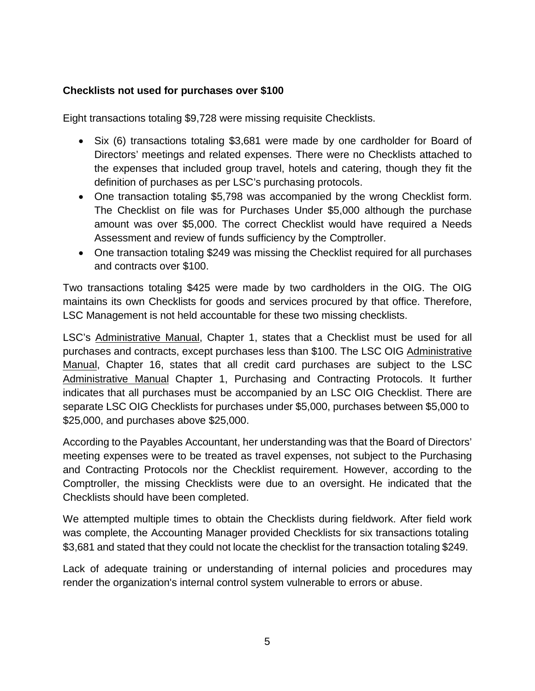#### **Checklists not used for purchases over \$100**

Eight transactions totaling \$9,728 were missing requisite Checklists.

- Six (6) transactions totaling \$3,681 were made by one cardholder for Board of Directors' meetings and related expenses. There were no Checklists attached to the expenses that included group travel, hotels and catering, though they fit the definition of purchases as per LSC's purchasing protocols.
- One transaction totaling \$5,798 was accompanied by the wrong Checklist form. The Checklist on file was for Purchases Under \$5,000 although the purchase amount was over \$5,000. The correct Checklist would have required a Needs Assessment and review of funds sufficiency by the Comptroller.
- One transaction totaling \$249 was missing the Checklist required for all purchases and contracts over \$100.

Two transactions totaling \$425 were made by two cardholders in the OIG. The OIG maintains its own Checklists for goods and services procured by that office. Therefore, LSC Management is not held accountable for these two missing checklists.

LSC's Administrative Manual, Chapter 1, states that a Checklist must be used for all purchases and contracts, except purchases less than \$100. The LSC OIG Administrative Manual, Chapter 16, states that all credit card purchases are subject to the LSC Administrative Manual Chapter 1, Purchasing and Contracting Protocols. It further indicates that all purchases must be accompanied by an LSC OIG Checklist. There are separate LSC OIG Checklists for purchases under \$5,000, purchases between \$5,000 to \$25,000, and purchases above \$25,000.

According to the Payables Accountant, her understanding was that the Board of Directors' meeting expenses were to be treated as travel expenses, not subject to the Purchasing and Contracting Protocols nor the Checklist requirement. However, according to the Comptroller, the missing Checklists were due to an oversight. He indicated that the Checklists should have been completed.

We attempted multiple times to obtain the Checklists during fieldwork. After field work was complete, the Accounting Manager provided Checklists for six transactions totaling \$3,681 and stated that they could not locate the checklist for the transaction totaling \$249.

Lack of adequate training or understanding of internal policies and procedures may render the organization's internal control system vulnerable to errors or abuse.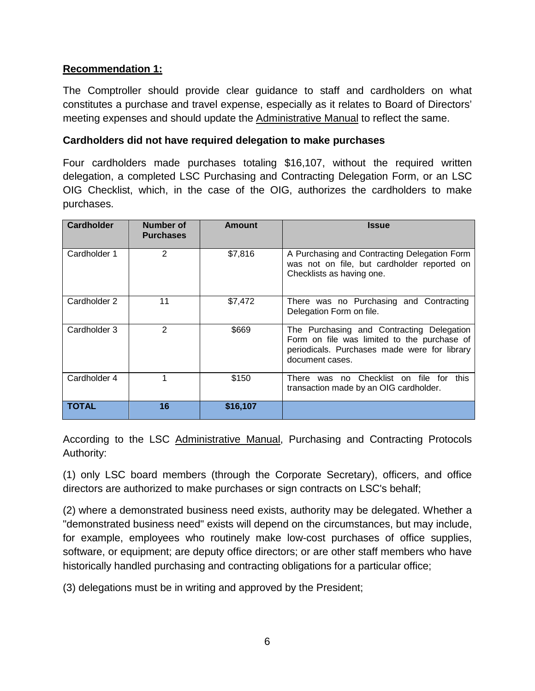#### **Recommendation 1:**

The Comptroller should provide clear guidance to staff and cardholders on what constitutes a purchase and travel expense, especially as it relates to Board of Directors' meeting expenses and should update the Administrative Manual to reflect the same.

#### **Cardholders did not have required delegation to make purchases**

Four cardholders made purchases totaling \$16,107, without the required written delegation, a completed LSC Purchasing and Contracting Delegation Form, or an LSC OIG Checklist, which, in the case of the OIG, authorizes the cardholders to make purchases.

| <b>Cardholder</b> | Number of<br><b>Purchases</b> | Amount   | <b>Issue</b>                                                                                                                                                |
|-------------------|-------------------------------|----------|-------------------------------------------------------------------------------------------------------------------------------------------------------------|
| Cardholder 1      | 2                             | \$7,816  | A Purchasing and Contracting Delegation Form<br>was not on file, but cardholder reported on<br>Checklists as having one.                                    |
| Cardholder 2      | 11                            | \$7,472  | There was no Purchasing and Contracting<br>Delegation Form on file.                                                                                         |
| Cardholder 3      | 2                             | \$669    | The Purchasing and Contracting Delegation<br>Form on file was limited to the purchase of<br>periodicals. Purchases made were for library<br>document cases. |
| Cardholder 4      | 1                             | \$150    | There was no Checklist on file for<br>this<br>transaction made by an OIG cardholder.                                                                        |
| <b>TOTAL</b>      | 16                            | \$16,107 |                                                                                                                                                             |

According to the LSC Administrative Manual, Purchasing and Contracting Protocols Authority:

(1) only LSC board members (through the Corporate Secretary), officers, and office directors are authorized to make purchases or sign contracts on LSC's behalf;

(2) where a demonstrated business need exists, authority may be delegated. Whether a "demonstrated business need" exists will depend on the circumstances, but may include, for example, employees who routinely make low-cost purchases of office supplies, software, or equipment; are deputy office directors; or are other staff members who have historically handled purchasing and contracting obligations for a particular office;

(3) delegations must be in writing and approved by the President;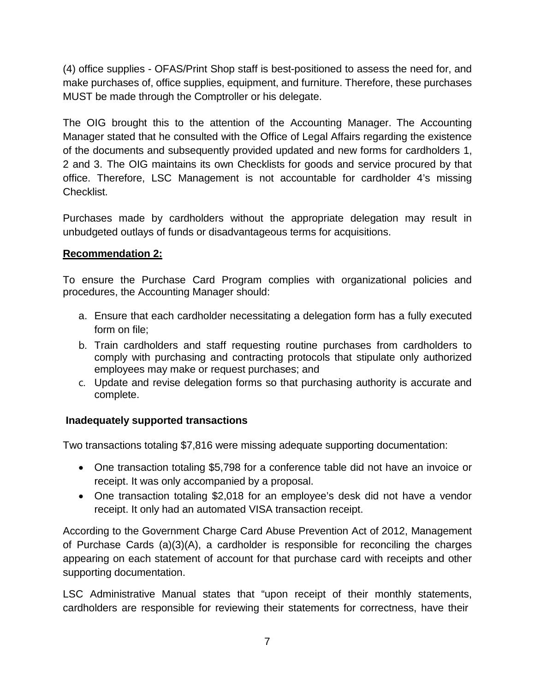(4) office supplies - OFAS/Print Shop staff is best-positioned to assess the need for, and make purchases of, office supplies, equipment, and furniture. Therefore, these purchases MUST be made through the Comptroller or his delegate.

The OIG brought this to the attention of the Accounting Manager. The Accounting Manager stated that he consulted with the Office of Legal Affairs regarding the existence of the documents and subsequently provided updated and new forms for cardholders 1, 2 and 3. The OIG maintains its own Checklists for goods and service procured by that office. Therefore, LSC Management is not accountable for cardholder 4's missing Checklist.

Purchases made by cardholders without the appropriate delegation may result in unbudgeted outlays of funds or disadvantageous terms for acquisitions.

### **Recommendation 2:**

To ensure the Purchase Card Program complies with organizational policies and procedures, the Accounting Manager should:

- a. Ensure that each cardholder necessitating a delegation form has a fully executed form on file;
- b. Train cardholders and staff requesting routine purchases from cardholders to comply with purchasing and contracting protocols that stipulate only authorized employees may make or request purchases; and
- c. Update and revise delegation forms so that purchasing authority is accurate and complete.

#### **Inadequately supported transactions**

Two transactions totaling \$7,816 were missing adequate supporting documentation:

- One transaction totaling \$5,798 for a conference table did not have an invoice or receipt. It was only accompanied by a proposal.
- One transaction totaling \$2,018 for an employee's desk did not have a vendor receipt. It only had an automated VISA transaction receipt.

According to the Government Charge Card Abuse Prevention Act of 2012, Management of Purchase Cards (a)(3)(A), a cardholder is responsible for reconciling the charges appearing on each statement of account for that purchase card with receipts and other supporting documentation.

LSC Administrative Manual states that "upon receipt of their monthly statements, cardholders are responsible for reviewing their statements for correctness, have their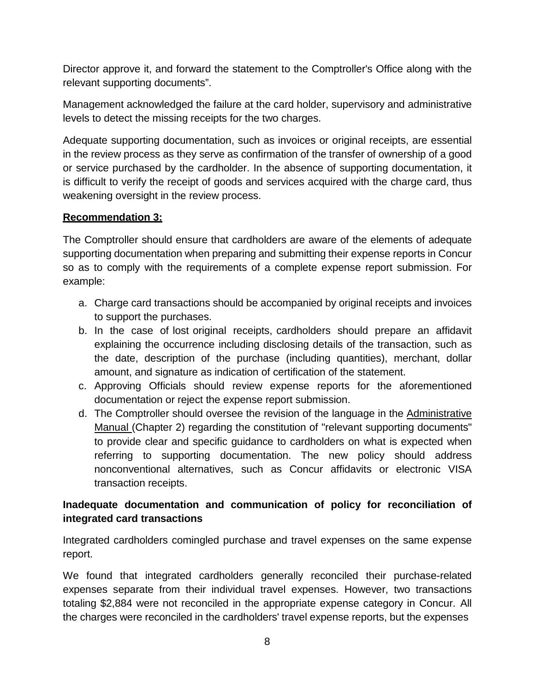Director approve it, and forward the statement to the Comptroller's Office along with the relevant supporting documents".

Management acknowledged the failure at the card holder, supervisory and administrative levels to detect the missing receipts for the two charges.

Adequate supporting documentation, such as invoices or original receipts, are essential in the review process as they serve as confirmation of the transfer of ownership of a good or service purchased by the cardholder. In the absence of supporting documentation, it is difficult to verify the receipt of goods and services acquired with the charge card, thus weakening oversight in the review process.

#### **Recommendation 3:**

The Comptroller should ensure that cardholders are aware of the elements of adequate supporting documentation when preparing and submitting their expense reports in Concur so as to comply with the requirements of a complete expense report submission. For example:

- a. Charge card transactions should be accompanied by original receipts and invoices to support the purchases.
- b. In the case of lost original receipts, cardholders should prepare an affidavit explaining the occurrence including disclosing details of the transaction, such as the date, description of the purchase (including quantities), merchant, dollar amount, and signature as indication of certification of the statement.
- c. Approving Officials should review expense reports for the aforementioned documentation or reject the expense report submission.
- d. The Comptroller should oversee the revision of the language in the Administrative Manual (Chapter 2) regarding the constitution of "relevant supporting documents" to provide clear and specific guidance to cardholders on what is expected when referring to supporting documentation. The new policy should address nonconventional alternatives, such as Concur affidavits or electronic VISA transaction receipts.

### **Inadequate documentation and communication of policy for reconciliation of integrated card transactions**

Integrated cardholders comingled purchase and travel expenses on the same expense report.

We found that integrated cardholders generally reconciled their purchase-related expenses separate from their individual travel expenses. However, two transactions totaling \$2,884 were not reconciled in the appropriate expense category in Concur. All the charges were reconciled in the cardholders' travel expense reports, but the expenses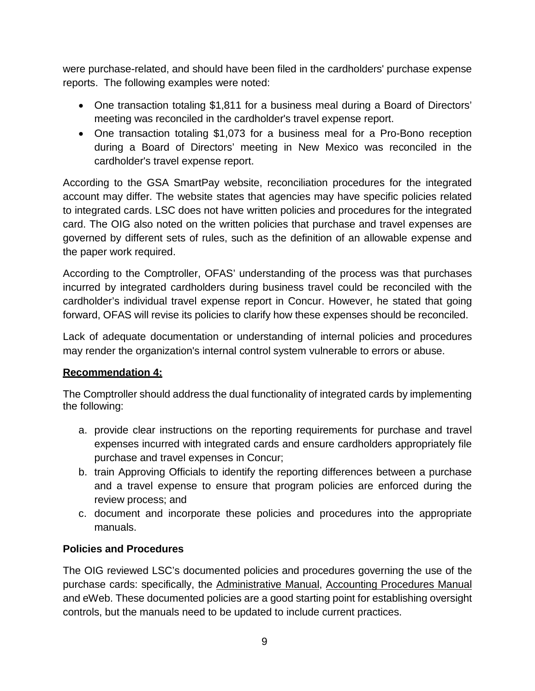were purchase-related, and should have been filed in the cardholders' purchase expense reports. The following examples were noted:

- One transaction totaling \$1,811 for a business meal during a Board of Directors' meeting was reconciled in the cardholder's travel expense report.
- One transaction totaling \$1,073 for a business meal for a Pro-Bono reception during a Board of Directors' meeting in New Mexico was reconciled in the cardholder's travel expense report.

According to the GSA SmartPay website, reconciliation procedures for the integrated account may differ. The website states that agencies may have specific policies related to integrated cards. LSC does not have written policies and procedures for the integrated card. The OIG also noted on the written policies that purchase and travel expenses are governed by different sets of rules, such as the definition of an allowable expense and the paper work required.

According to the Comptroller, OFAS' understanding of the process was that purchases incurred by integrated cardholders during business travel could be reconciled with the cardholder's individual travel expense report in Concur. However, he stated that going forward, OFAS will revise its policies to clarify how these expenses should be reconciled.

Lack of adequate documentation or understanding of internal policies and procedures may render the organization's internal control system vulnerable to errors or abuse.

#### **Recommendation 4:**

The Comptroller should address the dual functionality of integrated cards by implementing the following:

- a. provide clear instructions on the reporting requirements for purchase and travel expenses incurred with integrated cards and ensure cardholders appropriately file purchase and travel expenses in Concur;
- b. train Approving Officials to identify the reporting differences between a purchase and a travel expense to ensure that program policies are enforced during the review process; and
- c. document and incorporate these policies and procedures into the appropriate manuals.

#### **Policies and Procedures**

The OIG reviewed LSC's documented policies and procedures governing the use of the purchase cards: specifically, the Administrative Manual, Accounting Procedures Manual and eWeb. These documented policies are a good starting point for establishing oversight controls, but the manuals need to be updated to include current practices.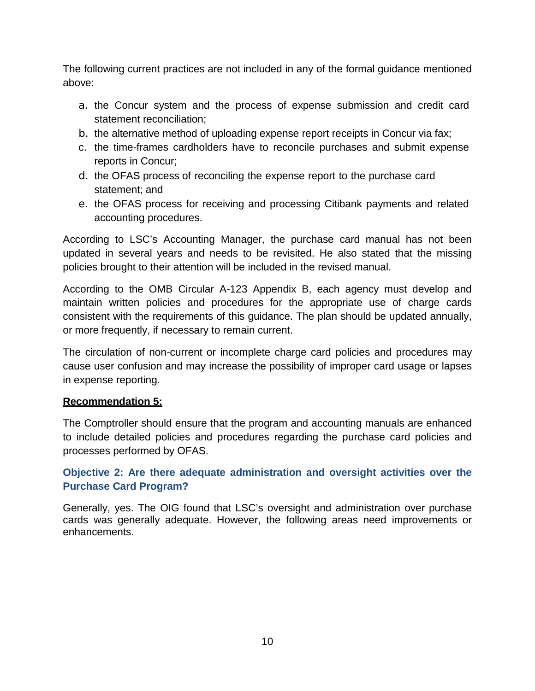The following current practices are not included in any of the formal guidance mentioned above:

- a. the Concur system and the process of expense submission and credit card statement reconciliation;
- b. the alternative method of uploading expense report receipts in Concur via fax;
- c. the time-frames cardholders have to reconcile purchases and submit expense reports in Concur;
- d. the OFAS process of reconciling the expense report to the purchase card statement; and
- e. the OFAS process for receiving and processing Citibank payments and related accounting procedures.

According to LSC's Accounting Manager, the purchase card manual has not been updated in several years and needs to be revisited. He also stated that the missing policies brought to their attention will be included in the revised manual.

According to the OMB Circular A-123 Appendix B, each agency must develop and maintain written policies and procedures for the appropriate use of charge cards consistent with the requirements of this guidance. The plan should be updated annually, or more frequently, if necessary to remain current.

The circulation of non-current or incomplete charge card policies and procedures may cause user confusion and may increase the possibility of improper card usage or lapses in expense reporting.

#### **Recommendation 5:**

The Comptroller should ensure that the program and accounting manuals are enhanced to include detailed policies and procedures regarding the purchase card policies and processes performed by OFAS.

**Objective 2: Are there adequate administration and oversight activities over the Purchase Card Program?**

Generally, yes. The OIG found that LSC's oversight and administration over purchase cards was generally adequate. However, the following areas need improvements or enhancements.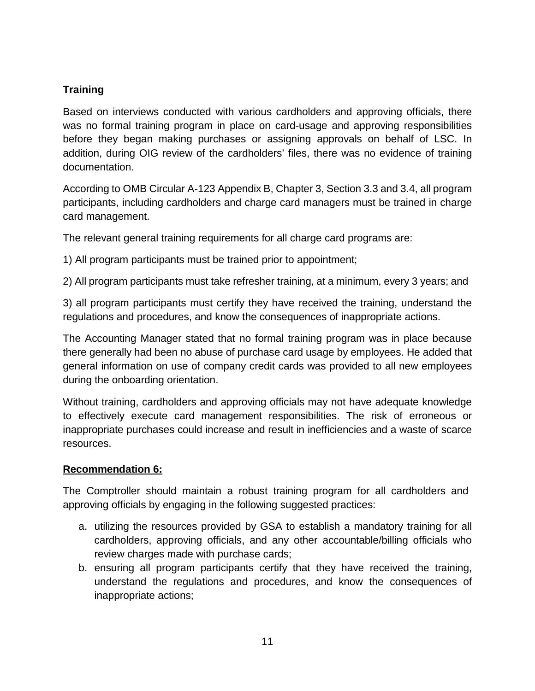## **Training**

Based on interviews conducted with various cardholders and approving officials, there was no formal training program in place on card-usage and approving responsibilities before they began making purchases or assigning approvals on behalf of LSC. In addition, during OIG review of the cardholders' files, there was no evidence of training documentation.

According to OMB Circular A-123 Appendix B, Chapter 3, Section 3.3 and 3.4, all program participants, including cardholders and charge card managers must be trained in charge card management.

The relevant general training requirements for all charge card programs are:

1) All program participants must be trained prior to appointment;

2) All program participants must take refresher training, at a minimum, every 3 years; and

3) all program participants must certify they have received the training, understand the regulations and procedures, and know the consequences of inappropriate actions.

The Accounting Manager stated that no formal training program was in place because there generally had been no abuse of purchase card usage by employees. He added that general information on use of company credit cards was provided to all new employees during the onboarding orientation.

Without training, cardholders and approving officials may not have adequate knowledge to effectively execute card management responsibilities. The risk of erroneous or inappropriate purchases could increase and result in inefficiencies and a waste of scarce resources.

#### **Recommendation 6:**

The Comptroller should maintain a robust training program for all cardholders and approving officials by engaging in the following suggested practices:

- a. utilizing the resources provided by GSA to establish a mandatory training for all cardholders, approving officials, and any other accountable/billing officials who review charges made with purchase cards;
- b. ensuring all program participants certify that they have received the training, understand the regulations and procedures, and know the consequences of inappropriate actions;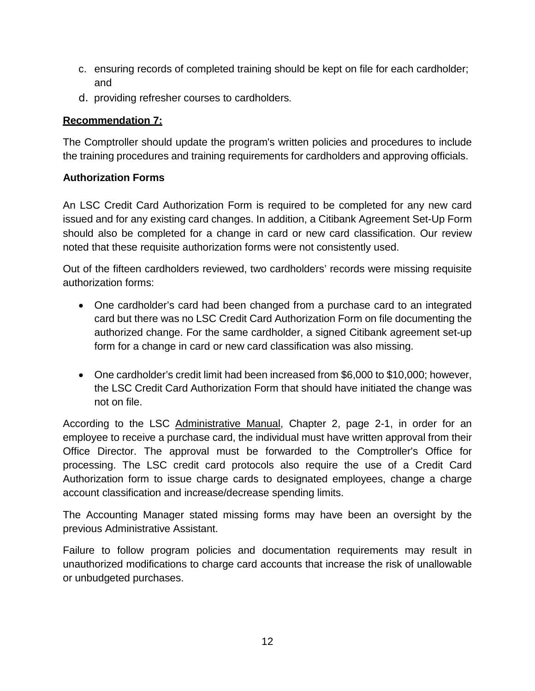- c. ensuring records of completed training should be kept on file for each cardholder; and
- d. providing refresher courses to cardholders.

## **Recommendation 7:**

The Comptroller should update the program's written policies and procedures to include the training procedures and training requirements for cardholders and approving officials.

## **Authorization Forms**

An LSC Credit Card Authorization Form is required to be completed for any new card issued and for any existing card changes. In addition, a Citibank Agreement Set-Up Form should also be completed for a change in card or new card classification. Our review noted that these requisite authorization forms were not consistently used.

Out of the fifteen cardholders reviewed, two cardholders' records were missing requisite authorization forms:

- One cardholder's card had been changed from a purchase card to an integrated card but there was no LSC Credit Card Authorization Form on file documenting the authorized change. For the same cardholder, a signed Citibank agreement set-up form for a change in card or new card classification was also missing.
- One cardholder's credit limit had been increased from \$6,000 to \$10,000; however, the LSC Credit Card Authorization Form that should have initiated the change was not on file.

According to the LSC Administrative Manual, Chapter 2, page 2-1, in order for an employee to receive a purchase card, the individual must have written approval from their Office Director. The approval must be forwarded to the Comptroller's Office for processing. The LSC credit card protocols also require the use of a Credit Card Authorization form to issue charge cards to designated employees, change a charge account classification and increase/decrease spending limits.

The Accounting Manager stated missing forms may have been an oversight by the previous Administrative Assistant.

Failure to follow program policies and documentation requirements may result in unauthorized modifications to charge card accounts that increase the risk of unallowable or unbudgeted purchases.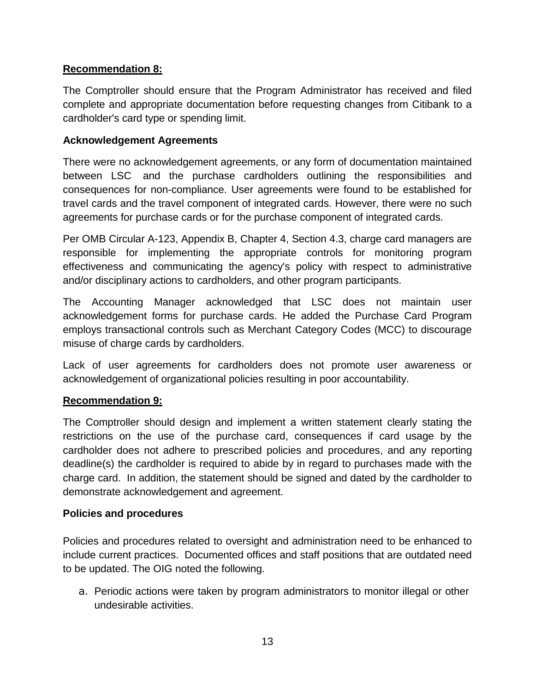#### **Recommendation 8:**

The Comptroller should ensure that the Program Administrator has received and filed complete and appropriate documentation before requesting changes from Citibank to a cardholder's card type or spending limit.

### **Acknowledgement Agreements**

There were no acknowledgement agreements, or any form of documentation maintained between LSC and the purchase cardholders outlining the responsibilities and consequences for non-compliance. User agreements were found to be established for travel cards and the travel component of integrated cards. However, there were no such agreements for purchase cards or for the purchase component of integrated cards.

Per OMB Circular A-123, Appendix B, Chapter 4, Section 4.3, charge card managers are responsible for implementing the appropriate controls for monitoring program effectiveness and communicating the agency's policy with respect to administrative and/or disciplinary actions to cardholders, and other program participants.

The Accounting Manager acknowledged that LSC does not maintain user acknowledgement forms for purchase cards. He added the Purchase Card Program employs transactional controls such as Merchant Category Codes (MCC) to discourage misuse of charge cards by cardholders.

Lack of user agreements for cardholders does not promote user awareness or acknowledgement of organizational policies resulting in poor accountability.

#### **Recommendation 9:**

The Comptroller should design and implement a written statement clearly stating the restrictions on the use of the purchase card, consequences if card usage by the cardholder does not adhere to prescribed policies and procedures, and any reporting deadline(s) the cardholder is required to abide by in regard to purchases made with the charge card. In addition, the statement should be signed and dated by the cardholder to demonstrate acknowledgement and agreement.

#### **Policies and procedures**

Policies and procedures related to oversight and administration need to be enhanced to include current practices. Documented offices and staff positions that are outdated need to be updated. The OIG noted the following.

a. Periodic actions were taken by program administrators to monitor illegal or other undesirable activities.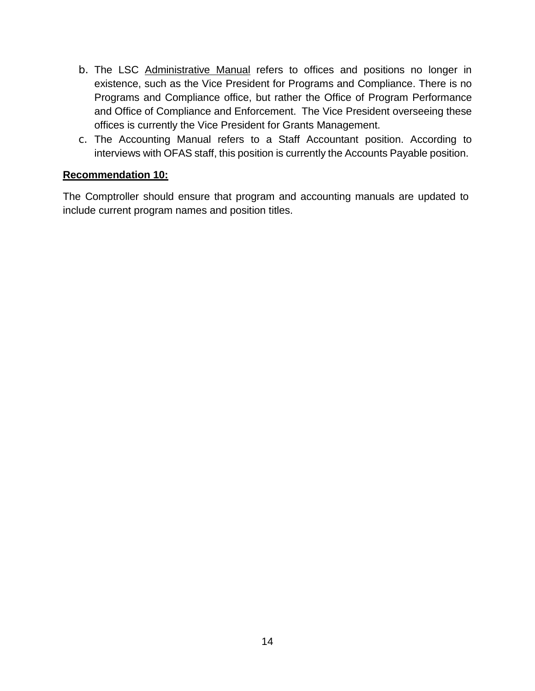- b. The LSC Administrative Manual refers to offices and positions no longer in existence, such as the Vice President for Programs and Compliance. There is no Programs and Compliance office, but rather the Office of Program Performance and Office of Compliance and Enforcement. The Vice President overseeing these offices is currently the Vice President for Grants Management.
- c. The Accounting Manual refers to a Staff Accountant position. According to interviews with OFAS staff, this position is currently the Accounts Payable position.

#### **Recommendation 10:**

The Comptroller should ensure that program and accounting manuals are updated to include current program names and position titles.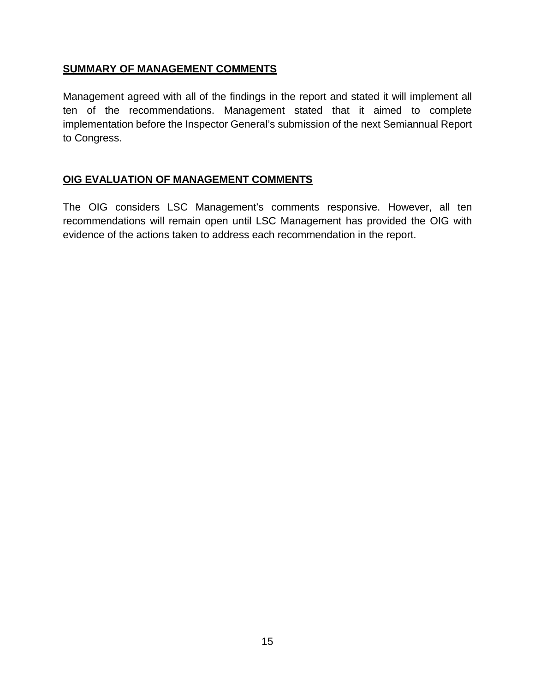#### **SUMMARY OF MANAGEMENT COMMENTS**

Management agreed with all of the findings in the report and stated it will implement all ten of the recommendations. Management stated that it aimed to complete implementation before the Inspector General's submission of the next Semiannual Report to Congress.

### **OIG EVALUATION OF MANAGEMENT COMMENTS**

The OIG considers LSC Management's comments responsive. However, all ten recommendations will remain open until LSC Management has provided the OIG with evidence of the actions taken to address each recommendation in the report.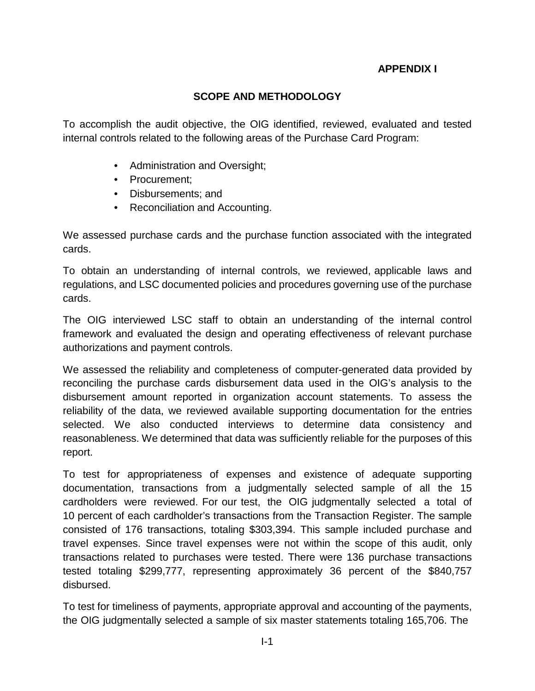### **APPENDIX I**

#### **SCOPE AND METHODOLOGY**

To accomplish the audit objective, the OIG identified, reviewed, evaluated and tested internal controls related to the following areas of the Purchase Card Program:

- Administration and Oversight;
- Procurement;
- Disbursements; and
- Reconciliation and Accounting.

We assessed purchase cards and the purchase function associated with the integrated cards.

To obtain an understanding of internal controls, we reviewed, applicable laws and regulations, and LSC documented policies and procedures governing use of the purchase cards.

The OIG interviewed LSC staff to obtain an understanding of the internal control framework and evaluated the design and operating effectiveness of relevant purchase authorizations and payment controls.

We assessed the reliability and completeness of computer-generated data provided by reconciling the purchase cards disbursement data used in the OIG's analysis to the disbursement amount reported in organization account statements. To assess the reliability of the data, we reviewed available supporting documentation for the entries selected. We also conducted interviews to determine data consistency and reasonableness. We determined that data was sufficiently reliable for the purposes of this report.

To test for appropriateness of expenses and existence of adequate supporting documentation, transactions from a judgmentally selected sample of all the 15 cardholders were reviewed. For our test, the OIG judgmentally selected a total of 10 percent of each cardholder's transactions from the Transaction Register. The sample consisted of 176 transactions, totaling \$303,394. This sample included purchase and travel expenses. Since travel expenses were not within the scope of this audit, only transactions related to purchases were tested. There were 136 purchase transactions tested totaling \$299,777, representing approximately 36 percent of the \$840,757 disbursed.

To test for timeliness of payments, appropriate approval and accounting of the payments, the OIG judgmentally selected a sample of six master statements totaling 165,706. The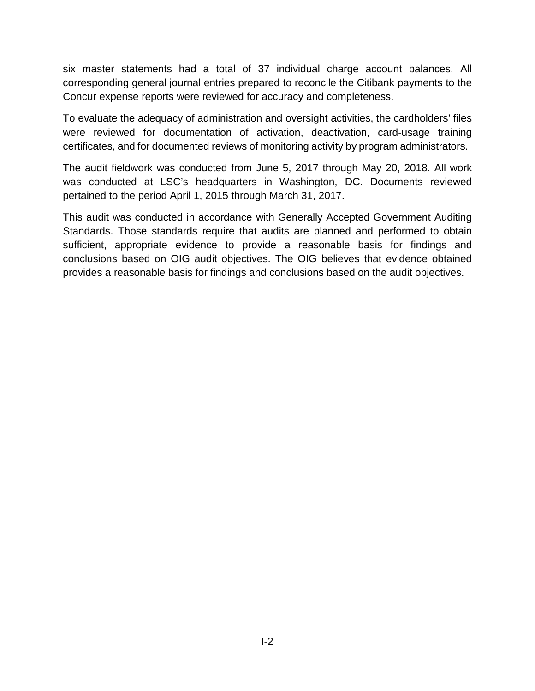six master statements had a total of 37 individual charge account balances. All corresponding general journal entries prepared to reconcile the Citibank payments to the Concur expense reports were reviewed for accuracy and completeness.

To evaluate the adequacy of administration and oversight activities, the cardholders' files were reviewed for documentation of activation, deactivation, card-usage training certificates, and for documented reviews of monitoring activity by program administrators.

The audit fieldwork was conducted from June 5, 2017 through May 20, 2018. All work was conducted at LSC's headquarters in Washington, DC. Documents reviewed pertained to the period April 1, 2015 through March 31, 2017.

This audit was conducted in accordance with Generally Accepted Government Auditing Standards. Those standards require that audits are planned and performed to obtain sufficient, appropriate evidence to provide a reasonable basis for findings and conclusions based on OIG audit objectives. The OIG believes that evidence obtained provides a reasonable basis for findings and conclusions based on the audit objectives.